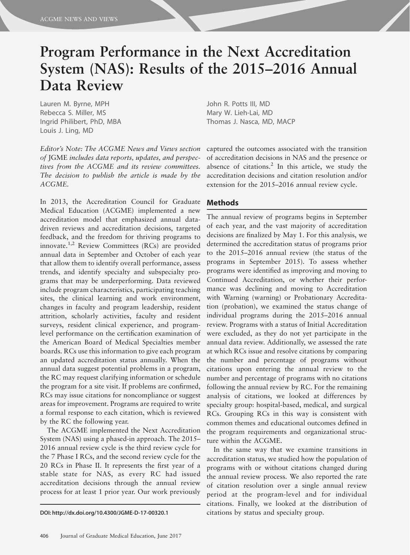# Program Performance in the Next Accreditation System (NAS): Results of the 2015–2016 Annual Data Review

Lauren M. Byrne, MPH Rebecca S. Miller, MS Ingrid Philibert, PhD, MBA Louis J. Ling, MD

Editor's Note: The ACGME News and Views section of JGME includes data reports, updates, and perspectives from the ACGME and its review committees. The decision to publish the article is made by the ACGME.

In 2013, the Accreditation Council for Graduate Medical Education (ACGME) implemented a new accreditation model that emphasized annual datadriven reviews and accreditation decisions, targeted feedback, and the freedom for thriving programs to innovate.1,2 Review Committees (RCs) are provided annual data in September and October of each year that allow them to identify overall performance, assess trends, and identify specialty and subspecialty programs that may be underperforming. Data reviewed include program characteristics, participating teaching sites, the clinical learning and work environment, changes in faculty and program leadership, resident attrition, scholarly activities, faculty and resident surveys, resident clinical experience, and programlevel performance on the certification examination of the American Board of Medical Specialties member boards. RCs use this information to give each program an updated accreditation status annually. When the annual data suggest potential problems in a program, the RC may request clarifying information or schedule the program for a site visit. If problems are confirmed, RCs may issue citations for noncompliance or suggest areas for improvement. Programs are required to write a formal response to each citation, which is reviewed by the RC the following year.

The ACGME implemented the Next Accreditation System (NAS) using a phased-in approach. The 2015– 2016 annual review cycle is the third review cycle for the 7 Phase I RCs, and the second review cycle for the 20 RCs in Phase II. It represents the first year of a stable state for NAS, as every RC had issued accreditation decisions through the annual review process for at least 1 prior year. Our work previously

John R. Potts III, MD Mary W. Lieh-Lai, MD Thomas J. Nasca, MD, MACP

captured the outcomes associated with the transition of accreditation decisions in NAS and the presence or absence of citations.<sup>2</sup> In this article, we study the accreditation decisions and citation resolution and/or extension for the 2015–2016 annual review cycle.

## Methods

The annual review of programs begins in September of each year, and the vast majority of accreditation decisions are finalized by May 1. For this analysis, we determined the accreditation status of programs prior to the 2015–2016 annual review (the status of the programs in September 2015). To assess whether programs were identified as improving and moving to Continued Accreditation, or whether their performance was declining and moving to Accreditation with Warning (warning) or Probationary Accreditation (probation), we examined the status change of individual programs during the 2015–2016 annual review. Programs with a status of Initial Accreditation were excluded, as they do not yet participate in the annual data review. Additionally, we assessed the rate at which RCs issue and resolve citations by comparing the number and percentage of programs without citations upon entering the annual review to the number and percentage of programs with no citations following the annual review by RC. For the remaining analysis of citations, we looked at differences by specialty group: hospital-based, medical, and surgical RCs. Grouping RCs in this way is consistent with common themes and educational outcomes defined in the program requirements and organizational structure within the ACGME.

In the same way that we examine transitions in accreditation status, we studied how the population of programs with or without citations changed during the annual review process. We also reported the rate of citation resolution over a single annual review period at the program-level and for individual citations. Finally, we looked at the distribution of DOI: http://dx.doi.org/10.4300/JGME-D-17-00320.1 citations by status and specialty group.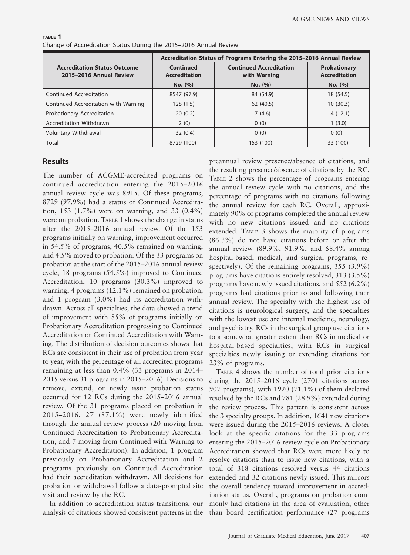|                                                                | Accreditation Status of Programs Entering the 2015-2016 Annual Review |                                                |                                             |  |  |  |
|----------------------------------------------------------------|-----------------------------------------------------------------------|------------------------------------------------|---------------------------------------------|--|--|--|
| <b>Accreditation Status Outcome</b><br>2015-2016 Annual Review | <b>Continued</b><br><b>Accreditation</b>                              | <b>Continued Accreditation</b><br>with Warning | <b>Probationary</b><br><b>Accreditation</b> |  |  |  |
|                                                                | No. (%)                                                               | No. (%)                                        | No. (%)                                     |  |  |  |
| Continued Accreditation                                        | 8547 (97.9)                                                           | 84 (54.9)                                      | 18 (54.5)                                   |  |  |  |
| Continued Accreditation with Warning                           | 128(1.5)                                                              | 62(40.5)                                       | 10(30.3)                                    |  |  |  |
| Probationary Accreditation                                     | 20(0.2)                                                               | 7(4.6)                                         | 4(12.1)                                     |  |  |  |
| Accreditation Withdrawn                                        | 2(0)                                                                  | 0(0)                                           | 1(3.0)                                      |  |  |  |
| Voluntary Withdrawal                                           | 32(0.4)                                                               | 0(0)                                           | 0(0)                                        |  |  |  |
| Total                                                          | 8729 (100)                                                            | 153 (100)                                      | 33 (100)                                    |  |  |  |

| TABLE 1                                                           |  |  |  |
|-------------------------------------------------------------------|--|--|--|
| Change of Accreditation Status During the 2015–2016 Annual Review |  |  |  |

#### Results

The number of ACGME-accredited programs on continued accreditation entering the 2015–2016 annual review cycle was 8915. Of these programs, 8729 (97.9%) had a status of Continued Accreditation, 153 (1.7%) were on warning, and 33 (0.4%) were on probation. TABLE 1 shows the change in status after the 2015–2016 annual review. Of the 153 programs initially on warning, improvement occurred in 54.5% of programs, 40.5% remained on warning, and 4.5% moved to probation. Of the 33 programs on probation at the start of the 2015–2016 annual review cycle, 18 programs (54.5%) improved to Continued Accreditation, 10 programs (30.3%) improved to warning, 4 programs (12.1%) remained on probation, and 1 program (3.0%) had its accreditation withdrawn. Across all specialties, the data showed a trend of improvement with 85% of programs initially on Probationary Accreditation progressing to Continued Accreditation or Continued Accreditation with Warning. The distribution of decision outcomes shows that RCs are consistent in their use of probation from year to year, with the percentage of all accredited programs remaining at less than 0.4% (33 programs in 2014– 2015 versus 31 programs in 2015–2016). Decisions to remove, extend, or newly issue probation status occurred for 12 RCs during the 2015–2016 annual review. Of the 31 programs placed on probation in 2015–2016, 27 (87.1%) were newly identified through the annual review process (20 moving from Continued Accreditation to Probationary Accreditation, and 7 moving from Continued with Warning to Probationary Accreditation). In addition, 1 program previously on Probationary Accreditation and 2 programs previously on Continued Accreditation had their accreditation withdrawn. All decisions for probation or withdrawal follow a data-prompted site visit and review by the RC.

analysis of citations showed consistent patterns in the than board certification performance (27 programs

preannual review presence/absence of citations, and the resulting presence/absence of citations by the RC. TABLE 2 shows the percentage of programs entering the annual review cycle with no citations, and the percentage of programs with no citations following the annual review for each RC. Overall, approximately 90% of programs completed the annual review with no new citations issued and no citations extended. TABLE 3 shows the majority of programs (86.3%) do not have citations before or after the annual review (89.9%, 91.9%, and 68.4% among hospital-based, medical, and surgical programs, respectively). Of the remaining programs, 355 (3.9%) programs have citations entirely resolved, 313 (3.5%) programs have newly issued citations, and 552 (6.2%) programs had citations prior to and following their annual review. The specialty with the highest use of citations is neurological surgery, and the specialties with the lowest use are internal medicine, neurology, and psychiatry. RCs in the surgical group use citations to a somewhat greater extent than RCs in medical or hospital-based specialties, with RCs in surgical specialties newly issuing or extending citations for 23% of programs.

In addition to accreditation status transitions, our monly had citations in the area of evaluation, other TABLE 4 shows the number of total prior citations during the 2015–2016 cycle (2701 citations across 907 programs), with 1920 (71.1%) of them declared resolved by the RCs and 781 (28.9%) extended during the review process. This pattern is consistent across the 3 specialty groups. In addition, 1641 new citations were issued during the 2015–2016 reviews. A closer look at the specific citations for the 33 programs entering the 2015–2016 review cycle on Probationary Accreditation showed that RCs were more likely to resolve citations than to issue new citations, with a total of 318 citations resolved versus 44 citations extended and 32 citations newly issued. This mirrors the overall tendency toward improvement in accreditation status. Overall, programs on probation com-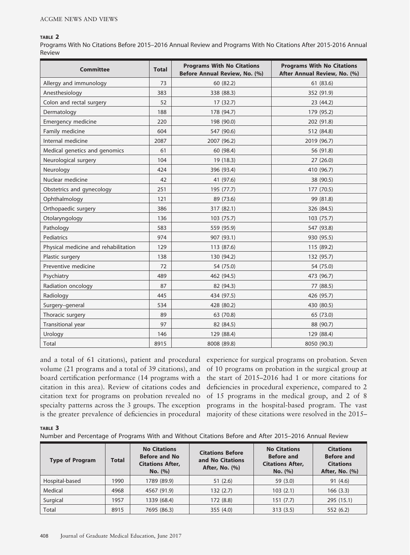#### TABLE 2

Programs With No Citations Before 2015–2016 Annual Review and Programs With No Citations After 2015-2016 Annual Review

| <b>Committee</b>                     | <b>Total</b> | <b>Programs With No Citations</b><br>Before Annual Review, No. (%) | <b>Programs With No Citations</b><br>After Annual Review, No. (%) |
|--------------------------------------|--------------|--------------------------------------------------------------------|-------------------------------------------------------------------|
| Allergy and immunology               | 73           | 60 (82.2)                                                          | 61 (83.6)                                                         |
| Anesthesiology                       | 383          | 338 (88.3)                                                         | 352 (91.9)                                                        |
| Colon and rectal surgery             | 52           | 17(32.7)                                                           | 23 (44.2)                                                         |
| Dermatology                          | 188          | 178 (94.7)                                                         | 179 (95.2)                                                        |
| Emergency medicine                   | 220          | 198 (90.0)                                                         | 202 (91.8)                                                        |
| Family medicine                      | 604          | 547 (90.6)                                                         | 512 (84.8)                                                        |
| Internal medicine                    | 2087         | 2007 (96.2)                                                        | 2019 (96.7)                                                       |
| Medical genetics and genomics        | 61           | 60 (98.4)                                                          | 56 (91.8)                                                         |
| Neurological surgery                 | 104          | 19 (18.3)                                                          | 27(26.0)                                                          |
| Neurology                            | 424          | 396 (93.4)                                                         | 410 (96.7)                                                        |
| Nuclear medicine                     | 42           | 41 (97.6)                                                          | 38 (90.5)                                                         |
| Obstetrics and gynecology            | 251          | 195 (77.7)                                                         | 177 (70.5)                                                        |
| Ophthalmology                        | 121          | 89 (73.6)                                                          | 99 (81.8)                                                         |
| Orthopaedic surgery                  | 386          | 317 (82.1)                                                         | 326 (84.5)                                                        |
| Otolaryngology                       | 136          | 103 (75.7)                                                         | 103 (75.7)                                                        |
| Pathology                            | 583          | 559 (95.9)                                                         | 547 (93.8)                                                        |
| <b>Pediatrics</b>                    | 974          | 907 (93.1)                                                         | 930 (95.5)                                                        |
| Physical medicine and rehabilitation | 129          | 113 (87.6)                                                         | 115 (89.2)                                                        |
| Plastic surgery                      | 138          | 130 (94.2)                                                         | 132 (95.7)                                                        |
| Preventive medicine                  | 72           | 54 (75.0)                                                          | 54 (75.0)                                                         |
| Psychiatry                           | 489          | 462 (94.5)                                                         | 473 (96.7)                                                        |
| Radiation oncology                   | 87           | 82 (94.3)                                                          | 77 (88.5)                                                         |
| Radiology                            | 445          | 434 (97.5)                                                         | 426 (95.7)                                                        |
| Surgery-general                      | 534          | 428 (80.2)                                                         | 430 (80.5)                                                        |
| Thoracic surgery                     | 89           | 63 (70.8)                                                          | 65 (73.0)                                                         |
| Transitional year                    | 97           | 82 (84.5)                                                          | 88 (90.7)                                                         |
| Urology                              | 146          | 129 (88.4)                                                         | 129 (88.4)                                                        |
| Total                                | 8915         | 8008 (89.8)                                                        | 8050 (90.3)                                                       |

and a total of 61 citations), patient and procedural volume (21 programs and a total of 39 citations), and board certification performance (14 programs with a citation in this area). Review of citations codes and citation text for programs on probation revealed no specialty patterns across the 3 groups. The exception is the greater prevalence of deficiencies in procedural

experience for surgical programs on probation. Seven of 10 programs on probation in the surgical group at the start of 2015–2016 had 1 or more citations for deficiencies in procedural experience, compared to 2 of 15 programs in the medical group, and 2 of 8 programs in the hospital-based program. The vast majority of these citations were resolved in the 2015–

#### TABLE 3

Number and Percentage of Programs With and Without Citations Before and After 2015–2016 Annual Review

| <b>Type of Program</b> | Total | <b>No Citations</b><br><b>Before and No</b><br><b>Citations After,</b><br>No. (%) | <b>Citations Before</b><br>and No Citations<br><b>After, No. (%)</b> | <b>No Citations</b><br><b>Before and</b><br><b>Citations After,</b><br>No. (%) | <b>Citations</b><br><b>Before and</b><br><b>Citations</b><br>After, No. (%) |  |
|------------------------|-------|-----------------------------------------------------------------------------------|----------------------------------------------------------------------|--------------------------------------------------------------------------------|-----------------------------------------------------------------------------|--|
| Hospital-based         | 1990  | 1789 (89.9)                                                                       | 51(2.6)                                                              | 59 (3.0)                                                                       | 91(4.6)                                                                     |  |
| Medical                | 4968  | 4567 (91.9)                                                                       | 132(2.7)                                                             | 103(2.1)                                                                       | 166(3.3)                                                                    |  |
| Surgical               | 1957  | 1339 (68.4)                                                                       | 172 (8.8)                                                            | 151(7.7)                                                                       | 295 (15.1)                                                                  |  |
| Total                  | 8915  | 7695 (86.3)                                                                       | 355(4.0)                                                             | 313 (3.5)                                                                      | 552 (6.2)                                                                   |  |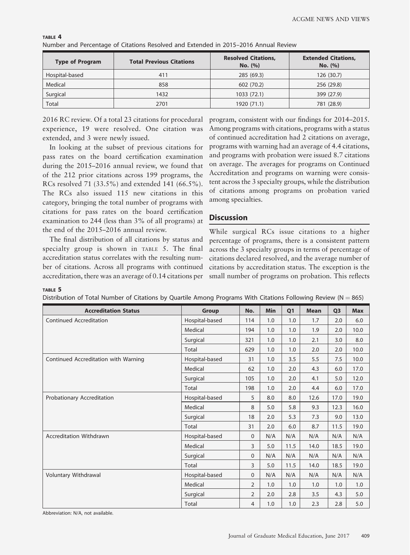| <b>Type of Program</b> | <b>Total Previous Citations</b> | <b>Resolved Citations,</b><br>No. (%) | <b>Extended Citations,</b><br>No. (%) |  |  |
|------------------------|---------------------------------|---------------------------------------|---------------------------------------|--|--|
| Hospital-based         | 411                             | 285 (69.3)                            | 126 (30.7)                            |  |  |
| Medical                | 858                             |                                       | 256 (29.8)                            |  |  |
| Surgical               | 1432                            | 1033 (72.1)                           | 399 (27.9)                            |  |  |
| Total                  | 2701                            | 1920 (71.1)                           | 781 (28.9)                            |  |  |

| TABLE 4 |  |                                                                                     |
|---------|--|-------------------------------------------------------------------------------------|
|         |  | Number and Percentage of Citations Resolved and Extended in 2015–2016 Annual Review |

2016 RC review. Of a total 23 citations for procedural experience, 19 were resolved. One citation was extended, and 3 were newly issued.

In looking at the subset of previous citations for pass rates on the board certification examination during the 2015–2016 annual review, we found that of the 212 prior citations across 199 programs, the RCs resolved 71 (33.5%) and extended 141 (66.5%). The RCs also issued 115 new citations in this category, bringing the total number of programs with citations for pass rates on the board certification examination to 244 (less than 3% of all programs) at the end of the 2015–2016 annual review.

The final distribution of all citations by status and specialty group is shown in TABLE 5. The final accreditation status correlates with the resulting number of citations. Across all programs with continued accreditation, there was an average of 0.14 citations per

program, consistent with our findings for 2014–2015. Among programs with citations, programs with a status of continued accreditation had 2 citations on average, programs with warning had an average of 4.4 citations, and programs with probation were issued 8.7 citations on average. The averages for programs on Continued Accreditation and programs on warning were consistent across the 3 specialty groups, while the distribution of citations among programs on probation varied among specialties.

# **Discussion**

While surgical RCs issue citations to a higher percentage of programs, there is a consistent pattern across the 3 specialty groups in terms of percentage of citations declared resolved, and the average number of citations by accreditation status. The exception is the small number of programs on probation. This reflects

#### TABLE 5

| Distribution of Total Number of Citations by Quartile Among Programs With Citations Following Review ( $N = 865$ ) |  |
|--------------------------------------------------------------------------------------------------------------------|--|
|                                                                                                                    |  |

| <b>Accreditation Status</b>          | <b>Group</b>   | No.            | <b>Min</b> | Q <sub>1</sub> | <b>Mean</b> | Q <sub>3</sub> | <b>Max</b> |
|--------------------------------------|----------------|----------------|------------|----------------|-------------|----------------|------------|
| Continued Accreditation              | Hospital-based | 114            | 1.0        | 1.0            | 1.7         | 2.0            | 6.0        |
|                                      | Medical        | 194            | 1.0        | 1.0            | 1.9         | 2.0            | 10.0       |
|                                      | Surgical       | 321            | 1.0        | 1.0            | 2.1         | 3.0            | 8.0        |
|                                      | Total          | 629            | 1.0        | 1.0            | 2.0         | 2.0            | 10.0       |
| Continued Accreditation with Warning | Hospital-based | 31             | 1.0        | 3.5            | 5.5         | 7.5            | 10.0       |
|                                      | Medical        | 62             | 1.0        | 2.0            | 4.3         | 6.0            | 17.0       |
|                                      | Surgical       | 105            | 1.0        | 2.0            | 4.1         | 5.0            | 12.0       |
|                                      | Total          | 198            | 1.0        | 2.0            | 4.4         | 6.0            | 17.0       |
| Probationary Accreditation           | Hospital-based | 5              | 8.0        | 8.0            | 12.6        | 17.0           | 19.0       |
|                                      | Medical        | 8              | 5.0        | 5.8            | 9.3         | 12.3           | 16.0       |
|                                      | Surgical       | 18             | 2.0        | 5.3            | 7.3         | 9.0            | 13.0       |
|                                      | Total          | 31             | 2.0        | 6.0            | 8.7         | 11.5           | 19.0       |
| Accreditation Withdrawn              | Hospital-based | $\mathbf 0$    | N/A        | N/A            | N/A         | N/A            | N/A        |
|                                      | Medical        | 3              | 5.0        | 11.5           | 14.0        | 18.5           | 19.0       |
|                                      | Surgical       | 0              | N/A        | N/A            | N/A         | N/A            | N/A        |
|                                      | Total          | 3              | 5.0        | 11.5           | 14.0        | 18.5           | 19.0       |
| Voluntary Withdrawal                 | Hospital-based | $\mathbf 0$    | N/A        | N/A            | N/A         | N/A            | N/A        |
|                                      | Medical        | $\overline{2}$ | 1.0        | 1.0            | 1.0         | 1.0            | 1.0        |
|                                      | Surgical       | $\overline{2}$ | 2.0        | 2.8            | 3.5         | 4.3            | 5.0        |
|                                      | Total          | 4              | 1.0        | 1.0            | 2.3         | 2.8            | 5.0        |

Abbreviation: N/A, not available.